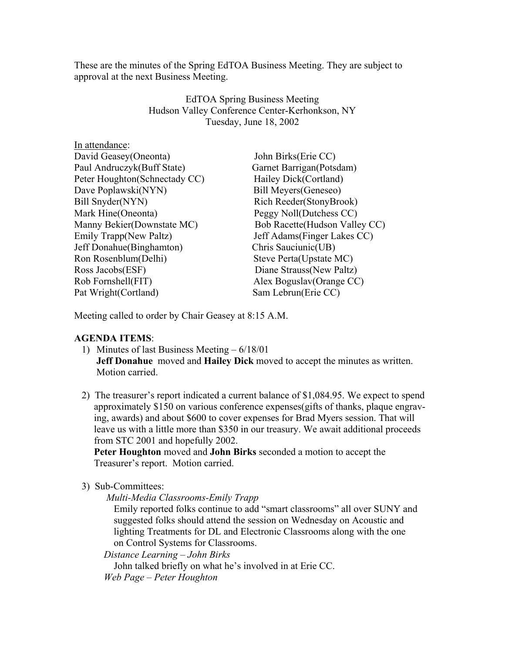These are the minutes of the Spring EdTOA Business Meeting. They are subject to approval at the next Business Meeting.

> EdTOA Spring Business Meeting Hudson Valley Conference Center-Kerhonkson, NY Tuesday, June 18, 2002

| In attendance:                |                                |
|-------------------------------|--------------------------------|
| David Geasey (Oneonta)        | John Birks(Erie CC)            |
| Paul Andruczyk(Buff State)    | Garnet Barrigan(Potsdam)       |
| Peter Houghton(Schnectady CC) | Hailey Dick(Cortland)          |
| Dave Poplawski(NYN)           | Bill Meyers (Geneseo)          |
| Bill Snyder(NYN)              | Rich Reeder(StonyBrook)        |
| Mark Hine(Oneonta)            | Peggy Noll(Dutchess CC)        |
| Manny Bekier(Downstate MC)    | Bob Racette (Hudson Valley CC) |
| Emily Trapp(New Paltz)        | Jeff Adams (Finger Lakes CC)   |
| Jeff Donahue (Binghamton)     | Chris Sauciunic(UB)            |
| Ron Rosenblum(Delhi)          | Steve Perta(Upstate MC)        |
| Ross Jacobs(ESF)              | Diane Strauss (New Paltz)      |
| Rob Fornshell(FIT)            | Alex Boguslav(Orange CC)       |
| Pat Wright (Cortland)         | Sam Lebrun(Erie CC)            |
|                               |                                |

Meeting called to order by Chair Geasey at 8:15 A.M.

## **AGENDA ITEMS**:

- 1) Minutes of last Business Meeting 6/18/01 **Jeff Donahue** moved and **Hailey Dick** moved to accept the minutes as written. Motion carried.
- 2) The treasurer's report indicated a current balance of \$1,084.95. We expect to spend approximately \$150 on various conference expenses(gifts of thanks, plaque engrav ing, awards) and about \$600 to cover expenses for Brad Myers session. That will leave us with a little more than \$350 in our treasury. We await additional proceeds from STC 2001 and hopefully 2002.

 **Peter Houghton** moved and **John Birks** seconded a motion to accept the Treasurer's report. Motion carried.

3) Sub-Committees:

*Multi-Media Classrooms-Emily Trapp*

 Emily reported folks continue to add "smart classrooms" all over SUNY and suggested folks should attend the session on Wednesday on Acoustic and lighting Treatments for DL and Electronic Classrooms along with the one on Control Systems for Classrooms.

*Distance Learning – John Birks*

 John talked briefly on what he's involved in at Erie CC. *Web Page – Peter Houghton*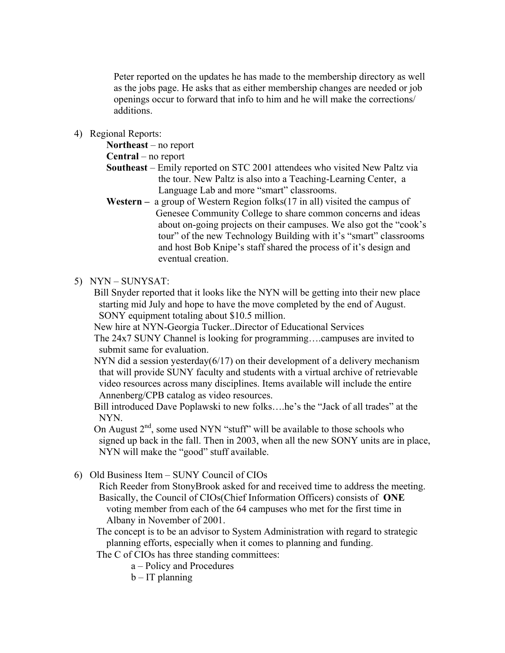Peter reported on the updates he has made to the membership directory as well as the jobs page. He asks that as either membership changes are needed or job openings occur to forward that info to him and he will make the corrections/ additions.

4) Regional Reports:

**Northeast** – no report

**Central** – no report

- **Southeast** Emily reported on STC 2001 attendees who visited New Paltz via the tour. New Paltz is also into a Teaching-Learning Center, a Language Lab and more "smart" classrooms.
- **Western** a group of Western Region folks(17 in all) visited the campus of Genesee Community College to share common concerns and ideas about on-going projects on their campuses. We also got the "cook's tour" of the new Technology Building with it's "smart" classrooms and host Bob Knipe's staff shared the process of it's design and eventual creation.

## 5) NYN – SUNYSAT:

 Bill Snyder reported that it looks like the NYN will be getting into their new place starting mid July and hope to have the move completed by the end of August. SONY equipment totaling about \$10.5 million.

New hire at NYN-Georgia Tucker..Director of Educational Services

 The 24x7 SUNY Channel is looking for programming….campuses are invited to submit same for evaluation.

NYN did a session yesterday( $6/17$ ) on their development of a delivery mechanism that will provide SUNY faculty and students with a virtual archive of retrievable video resources across many disciplines. Items available will include the entire Annenberg/CPB catalog as video resources.

 Bill introduced Dave Poplawski to new folks….he's the "Jack of all trades" at the NYN.

On August  $2<sup>nd</sup>$ , some used NYN "stuff" will be available to those schools who signed up back in the fall. Then in 2003, when all the new SONY units are in place, NYN will make the "good" stuff available.

## 6) Old Business Item – SUNY Council of CIOs

 Rich Reeder from StonyBrook asked for and received time to address the meeting. Basically, the Council of CIOs(Chief Information Officers) consists of **ONE**  voting member from each of the 64 campuses who met for the first time in Albany in November of 2001.

 The concept is to be an advisor to System Administration with regard to strategic planning efforts, especially when it comes to planning and funding.

The C of CIOs has three standing committees:

a – Policy and Procedures

b – IT planning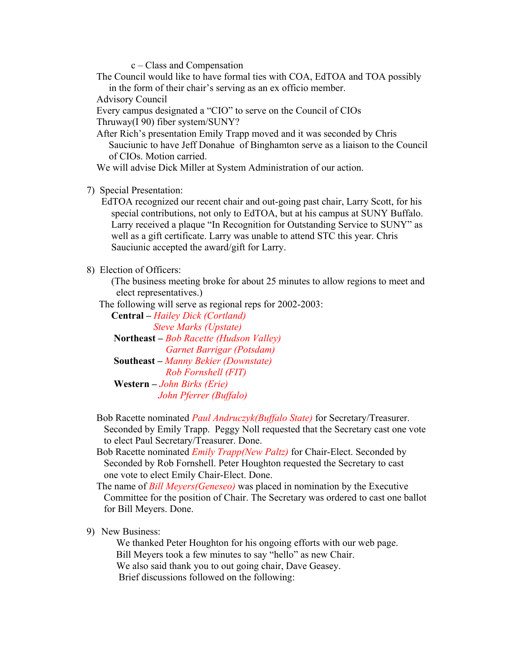c – Class and Compensation

 The Council would like to have formal ties with COA, EdTOA and TOA possibly in the form of their chair's serving as an ex officio member.

Advisory Council

 Every campus designated a "CIO" to serve on the Council of CIOs Thruway(I 90) fiber system/SUNY?

 After Rich's presentation Emily Trapp moved and it was seconded by Chris Sauciunic to have Jeff Donahue of Binghamton serve as a liaison to the Council of CIOs. Motion carried.

We will advise Dick Miller at System Administration of our action.

7) Special Presentation:

 EdTOA recognized our recent chair and out-going past chair, Larry Scott, for his special contributions, not only to EdTOA, but at his campus at SUNY Buffalo. Larry received a plaque "In Recognition for Outstanding Service to SUNY" as well as a gift certificate. Larry was unable to attend STC this year. Chris Sauciunic accepted the award/gift for Larry.

8) Election of Officers:

 (The business meeting broke for about 25 minutes to allow regions to meet and elect representatives.)

The following will serve as regional reps for 2002-2003:

 **Central –** *Hailey Dick (Cortland) Steve Marks (Upstate)*  **Northeast –** *Bob Racette (Hudson Valley) Garnet Barrigar (Potsdam)* **Southeast –** *Manny Bekier (Downstate) Rob Fornshell (FIT)*  **Western –** *John Birks (Erie)* 

 *John Pferrer (Buffalo)* 

- Bob Racette nominated *Paul Andruczyk(Buffalo State)* for Secretary/Treasurer. Seconded by Emily Trapp. Peggy Noll requested that the Secretary cast one vote to elect Paul Secretary/Treasurer. Done.
- Bob Racette nominated *Emily Trapp(New Paltz)* for Chair-Elect. Seconded by Seconded by Rob Fornshell. Peter Houghton requested the Secretary to cast one vote to elect Emily Chair-Elect. Done.

 The name of *Bill Meyers(Geneseo)* was placed in nomination by the Executive Committee for the position of Chair. The Secretary was ordered to cast one ballot for Bill Meyers. Done.

## 9) New Business:

 We thanked Peter Houghton for his ongoing efforts with our web page. Bill Meyers took a few minutes to say "hello" as new Chair. We also said thank you to out going chair, Dave Geasey. Brief discussions followed on the following: